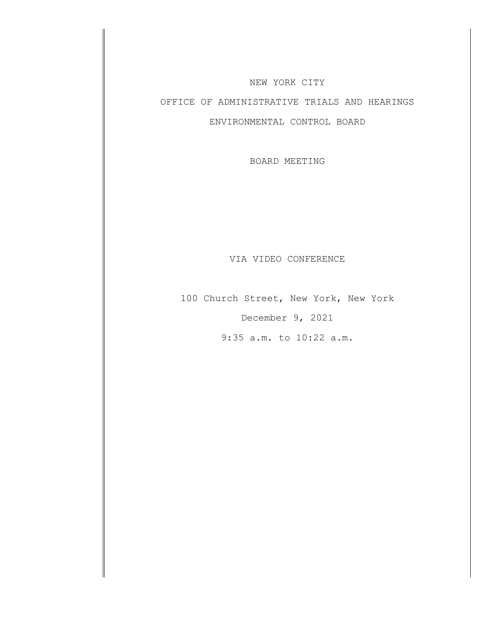#### NEW YORK CITY

# OFFICE OF ADMINISTRATIVE TRIALS AND HEARINGS

### ENVIRONMENTAL CONTROL BOARD

BOARD MEETING

#### VIA VIDEO CONFERENCE

100 Church Street, New York, New York December 9, 2021

9:35 a.m. to 10:22 a.m.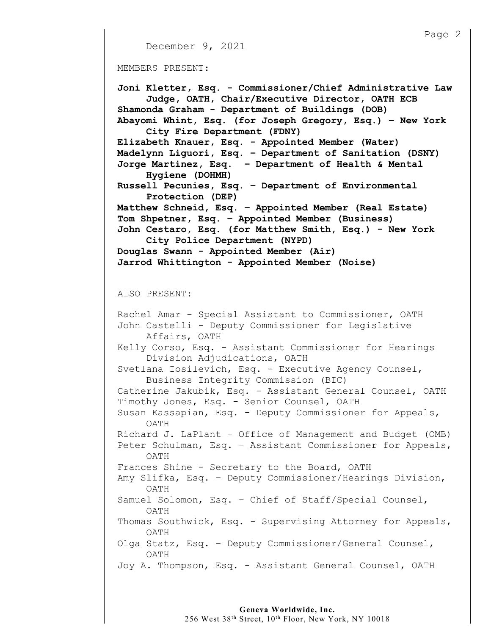```
December 9, 2021
MEMBERS PRESENT:
Joni Kletter, Esq. - Commissioner/Chief Administrative Law
     Judge, OATH, Chair/Executive Director, OATH ECB
Shamonda Graham - Department of Buildings (DOB)
Abayomi Whint, Esq. (for Joseph Gregory, Esq.) – New York 
     City Fire Department (FDNY)
Elizabeth Knauer, Esq. - Appointed Member (Water)
Madelynn Liguori, Esq. – Department of Sanitation (DSNY)
Jorge Martinez, Esq. – Department of Health & Mental
     Hygiene (DOHMH)
Russell Pecunies, Esq. – Department of Environmental 
     Protection (DEP)
Matthew Schneid, Esq. – Appointed Member (Real Estate)
Tom Shpetner, Esq. – Appointed Member (Business) 
John Cestaro, Esq. (for Matthew Smith, Esq.) - New York 
     City Police Department (NYPD)
Douglas Swann - Appointed Member (Air)
Jarrod Whittington - Appointed Member (Noise)
ALSO PRESENT:
Rachel Amar - Special Assistant to Commissioner, OATH
John Castelli - Deputy Commissioner for Legislative 
    Affairs, OATH
Kelly Corso, Esq. - Assistant Commissioner for Hearings
     Division Adjudications, OATH
Svetlana Iosilevich, Esq. - Executive Agency Counsel,
     Business Integrity Commission (BIC)
Catherine Jakubik, Esq. - Assistant General Counsel, OATH
Timothy Jones, Esq. - Senior Counsel, OATH
Susan Kassapian, Esq. - Deputy Commissioner for Appeals,
     OATH
Richard J. LaPlant – Office of Management and Budget (OMB)
Peter Schulman, Esq. – Assistant Commissioner for Appeals, 
     OATH
Frances Shine - Secretary to the Board, OATH
Amy Slifka, Esq. – Deputy Commissioner/Hearings Division, 
     OATH
Samuel Solomon, Esq. – Chief of Staff/Special Counsel,
     OATH
Thomas Southwick, Esq. - Supervising Attorney for Appeals, 
     OATH
Olga Statz, Esq. – Deputy Commissioner/General Counsel, 
     OATH
```
Page 2

Joy A. Thompson, Esq. - Assistant General Counsel, OATH

# **Geneva Worldwide, Inc.**

256 West 38th Street, 10th Floor, New York, NY 10018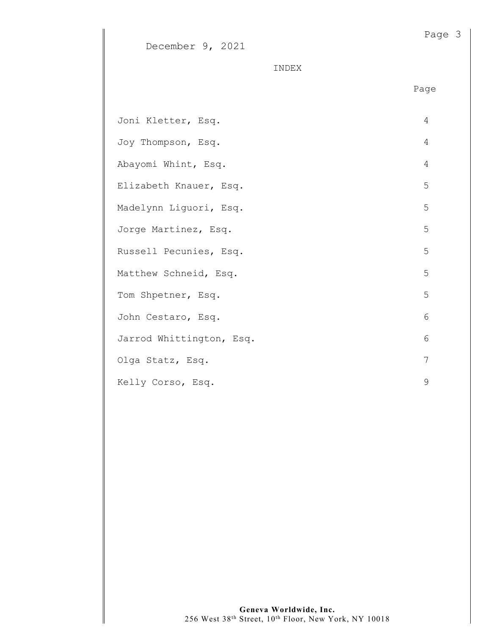| December 9, |  | . 2021 |
|-------------|--|--------|
|-------------|--|--------|

INDEX

| Joni Kletter, Esq.       | $\overline{4}$ |
|--------------------------|----------------|
| Joy Thompson, Esq.       | 4              |
| Abayomi Whint, Esq.      | 4              |
| Elizabeth Knauer, Esq.   | 5              |
| Madelynn Liguori, Esq.   | 5              |
| Jorge Martinez, Esq.     | 5              |
| Russell Pecunies, Esq.   | 5              |
| Matthew Schneid, Esq.    | 5              |
| Tom Shpetner, Esq.       | 5              |
| John Cestaro, Esq.       | 6              |
| Jarrod Whittington, Esq. | 6              |
| Olga Statz, Esq.         | 7              |
| Kelly Corso, Esq.        | 9              |

Page 3

Page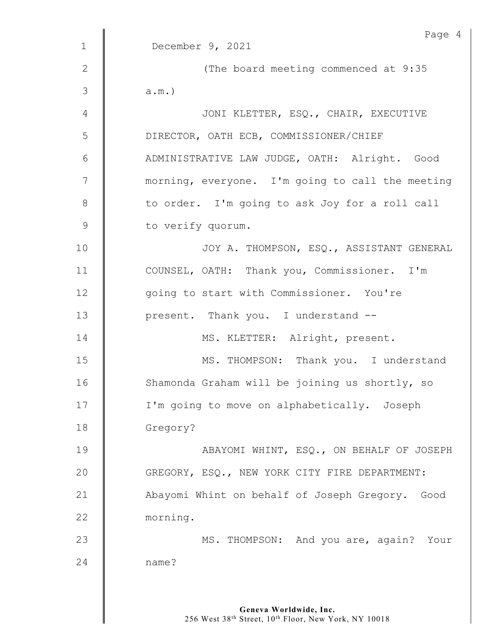|                | Page 4                                           |
|----------------|--------------------------------------------------|
| $\mathbf 1$    | December 9, 2021                                 |
| $\mathbf{2}$   | (The board meeting commenced at 9:35             |
| $\mathfrak{Z}$ | $a.m.$ )                                         |
| 4              | JONI KLETTER, ESQ., CHAIR, EXECUTIVE             |
| 5              | DIRECTOR, OATH ECB, COMMISSIONER/CHIEF           |
| 6              | ADMINISTRATIVE LAW JUDGE, OATH: Alright. Good    |
| $\overline{7}$ | morning, everyone. I'm going to call the meeting |
| $\,8\,$        | to order. I'm going to ask Joy for a roll call   |
| $\mathsf 9$    | to verify quorum.                                |
| 10             | JOY A. THOMPSON, ESQ., ASSISTANT GENERAL         |
| 11             | COUNSEL, OATH: Thank you, Commissioner. I'm      |
| 12             | going to start with Commissioner. You're         |
| 13             | present. Thank you. I understand --              |
| 14             | MS. KLETTER: Alright, present.                   |
| 15             | MS. THOMPSON: Thank you. I understand            |
| 16             | Shamonda Graham will be joining us shortly, so   |
| 17             | I'm going to move on alphabetically. Joseph      |
| 18             | Gregory?                                         |
| 19             | ABAYOMI WHINT, ESQ., ON BEHALF OF JOSEPH         |
| 20             | GREGORY, ESQ., NEW YORK CITY FIRE DEPARTMENT:    |
| 21             | Abayomi Whint on behalf of Joseph Gregory. Good  |
| 22             | morning.                                         |
| 23             | MS. THOMPSON: And you are, again? Your           |
| 24             | name?                                            |
|                |                                                  |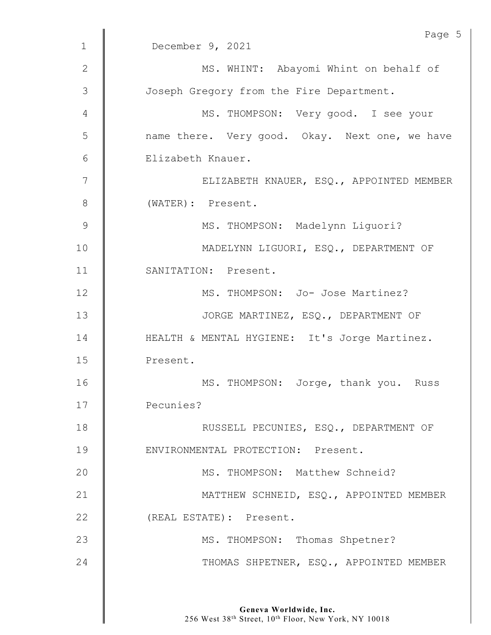|                | Page 5                                         |
|----------------|------------------------------------------------|
| $\mathbf 1$    | December 9, 2021                               |
| 2              | MS. WHINT: Abayomi Whint on behalf of          |
| 3              | Joseph Gregory from the Fire Department.       |
| 4              | MS. THOMPSON: Very good. I see your            |
| 5              | name there. Very good. Okay. Next one, we have |
| 6              | Elizabeth Knauer.                              |
| $\overline{7}$ | ELIZABETH KNAUER, ESQ., APPOINTED MEMBER       |
| 8              | (WATER): Present.                              |
| 9              | MS. THOMPSON: Madelynn Liguori?                |
| 10             | MADELYNN LIGUORI, ESQ., DEPARTMENT OF          |
| 11             | SANITATION: Present.                           |
| 12             | MS. THOMPSON: Jo- Jose Martinez?               |
| 13             | JORGE MARTINEZ, ESQ., DEPARTMENT OF            |
| 14             | HEALTH & MENTAL HYGIENE: It's Jorge Martinez.  |
| 15             | Present.                                       |
| 16             | MS. THOMPSON: Jorge, thank you. Russ           |
| 17             | Pecunies?                                      |
| 18             | RUSSELL PECUNIES, ESQ., DEPARTMENT OF          |
| 19             | ENVIRONMENTAL PROTECTION: Present.             |
| 20             | MS. THOMPSON: Matthew Schneid?                 |
| 21             | MATTHEW SCHNEID, ESQ., APPOINTED MEMBER        |
| 22             | (REAL ESTATE): Present.                        |
| 23             | MS. THOMPSON: Thomas Shpetner?                 |
| 24             | THOMAS SHPETNER, ESQ., APPOINTED MEMBER        |
|                |                                                |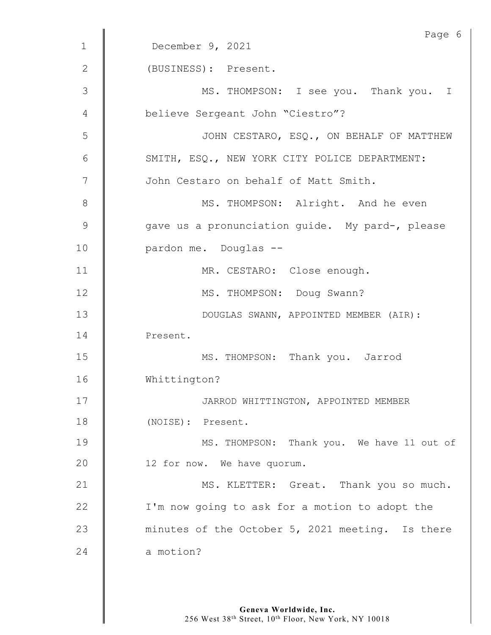|              | Page 6                                           |
|--------------|--------------------------------------------------|
| $\mathbf 1$  | December 9, 2021                                 |
| $\mathbf{2}$ | (BUSINESS): Present.                             |
| 3            | MS. THOMPSON: I see you. Thank you. I            |
| 4            | believe Sergeant John "Ciestro"?                 |
| 5            | JOHN CESTARO, ESQ., ON BEHALF OF MATTHEW         |
| 6            | SMITH, ESQ., NEW YORK CITY POLICE DEPARTMENT:    |
| 7            | John Cestaro on behalf of Matt Smith.            |
| 8            | MS. THOMPSON: Alright. And he even               |
| 9            | gave us a pronunciation quide. My pard-, please  |
| 10           | pardon me. Douglas --                            |
| 11           | MR. CESTARO: Close enough.                       |
| 12           | MS. THOMPSON: Doug Swann?                        |
| 13           | DOUGLAS SWANN, APPOINTED MEMBER (AIR):           |
| 14           | Present.                                         |
| 15           | MS. THOMPSON: Thank you. Jarrod                  |
| 16           | Whittington?                                     |
| 17           | JARROD WHITTINGTON, APPOINTED MEMBER             |
| 18           | (NOISE): Present.                                |
| 19           | MS. THOMPSON: Thank you. We have 11 out of       |
| 20           | 12 for now. We have quorum.                      |
| 21           | MS. KLETTER: Great. Thank you so much.           |
| 22           | I'm now going to ask for a motion to adopt the   |
| 23           | minutes of the October 5, 2021 meeting. Is there |
| 24           | a motion?                                        |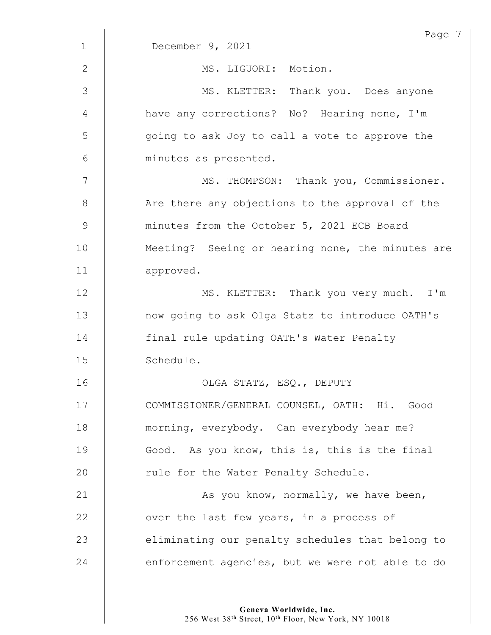| $\mathbf 1$ | Page 7<br>December 9, 2021                       |
|-------------|--------------------------------------------------|
|             |                                                  |
| 2           | MS. LIGUORI: Motion.                             |
| 3           | MS. KLETTER: Thank you. Does anyone              |
| 4           | have any corrections? No? Hearing none, I'm      |
| 5           | going to ask Joy to call a vote to approve the   |
| 6           | minutes as presented.                            |
| 7           | MS. THOMPSON: Thank you, Commissioner.           |
| 8           | Are there any objections to the approval of the  |
| 9           | minutes from the October 5, 2021 ECB Board       |
| 10          | Meeting? Seeing or hearing none, the minutes are |
| 11          | approved.                                        |
| 12          | MS. KLETTER: Thank you very much. I'm            |
| 13          | now going to ask Olga Statz to introduce OATH's  |
| 14          | final rule updating OATH's Water Penalty         |
| 15          | Schedule.                                        |
| 16          | OLGA STATZ, ESQ., DEPUTY                         |
| 17          | COMMISSIONER/GENERAL COUNSEL, OATH: Hi. Good     |
| 18          | morning, everybody. Can everybody hear me?       |
| 19          | Good. As you know, this is, this is the final    |
| 20          | rule for the Water Penalty Schedule.             |
| 21          | As you know, normally, we have been,             |
| 22          | over the last few years, in a process of         |
| 23          | eliminating our penalty schedules that belong to |
| 24          | enforcement agencies, but we were not able to do |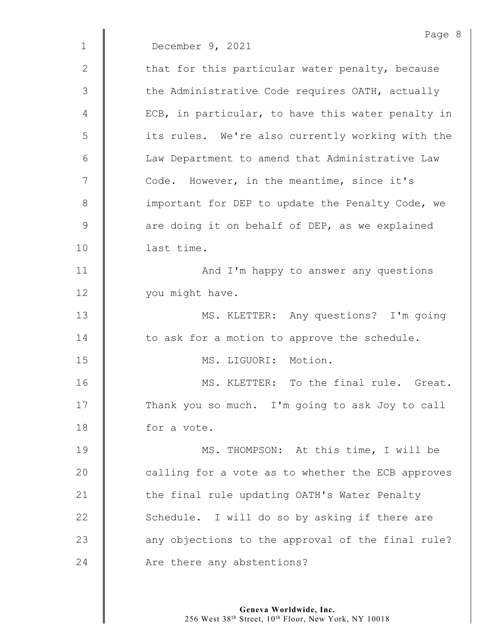Page 8 1 December 9, 2021 2  $\parallel$  that for this particular water penalty, because 3 | the Administrative Code requires OATH, actually 4 | ECB, in particular, to have this water penalty in 5 | its rules. We're also currently working with the 6 || Law Department to amend that Administrative Law 7 Code. However, in the meantime, since it's 8 **important for DEP to update the Penalty Code, we** 9 are doing it on behalf of DEP, as we explained 10 | last time. 11 | And I'm happy to answer any questions 12 | vou might have. 13 | MS. KLETTER: Any questions? I'm going  $14$   $\parallel$  to ask for a motion to approve the schedule. 15 MS. LIGUORI: Motion. 16 **MS. KLETTER:** To the final rule. Great. 17 | Thank you so much. I'm going to ask Joy to call 18 **for a vote.** 19 | MS. THOMPSON: At this time, I will be 20 | calling for a vote as to whether the ECB approves 21 | the final rule updating OATH's Water Penalty 22  $\parallel$  Schedule. I will do so by asking if there are 23 | any objections to the approval of the final rule? 24 **Are there any abstentions?**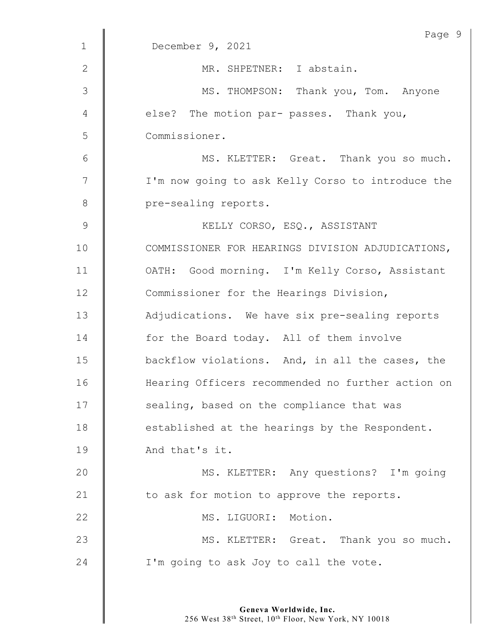|             | Page 9                                            |
|-------------|---------------------------------------------------|
| $\mathbf 1$ | December 9, 2021                                  |
| 2           | MR. SHPETNER: I abstain.                          |
| 3           | MS. THOMPSON: Thank you, Tom. Anyone              |
| 4           | else? The motion par- passes. Thank you,          |
| 5           | Commissioner.                                     |
| 6           | MS. KLETTER: Great. Thank you so much.            |
| 7           | I'm now going to ask Kelly Corso to introduce the |
| $8\,$       | pre-sealing reports.                              |
| 9           | KELLY CORSO, ESQ., ASSISTANT                      |
| 10          | COMMISSIONER FOR HEARINGS DIVISION ADJUDICATIONS, |
| 11          | OATH: Good morning. I'm Kelly Corso, Assistant    |
| 12          | Commissioner for the Hearings Division,           |
| 13          | Adjudications. We have six pre-sealing reports    |
| 14          | for the Board today. All of them involve          |
| 15          | backflow violations. And, in all the cases, the   |
| 16          | Hearing Officers recommended no further action on |
| 17          | sealing, based on the compliance that was         |
| 18          | established at the hearings by the Respondent.    |
| 19          | And that's it.                                    |
| 20          | MS. KLETTER: Any questions? I'm going             |
| 21          | to ask for motion to approve the reports.         |
| 22          | MS. LIGUORI: Motion.                              |
| 23          | MS. KLETTER: Great. Thank you so much.            |
| 24          | I'm going to ask Joy to call the vote.            |
|             |                                                   |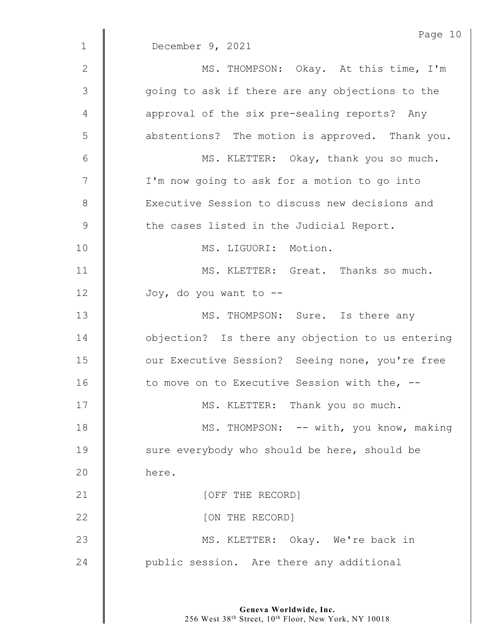|                 | Page 10                                          |
|-----------------|--------------------------------------------------|
| $\mathbf{1}$    | December 9, 2021                                 |
| $\mathbf{2}$    | MS. THOMPSON: Okay. At this time, I'm            |
| 3               | going to ask if there are any objections to the  |
| 4               | approval of the six pre-sealing reports? Any     |
| 5               | abstentions? The motion is approved. Thank you.  |
| $6\phantom{.}6$ | MS. KLETTER: Okay, thank you so much.            |
| $\overline{7}$  | I'm now going to ask for a motion to go into     |
| $8\,$           | Executive Session to discuss new decisions and   |
| $\mathsf 9$     | the cases listed in the Judicial Report.         |
| 10              | MS. LIGUORI: Motion.                             |
| 11              | MS. KLETTER: Great. Thanks so much.              |
| 12              | Joy, do you want to --                           |
| 13              | MS. THOMPSON: Sure. Is there any                 |
| 14              | objection? Is there any objection to us entering |
| 15              | our Executive Session? Seeing none, you're free  |
| 16              | to move on to Executive Session with the, --     |
| 17              | MS. KLETTER: Thank you so much.                  |
| 18              | MS. THOMPSON: -- with, you know, making          |
| 19              | sure everybody who should be here, should be     |
| 20              | here.                                            |
| 21              | [OFF THE RECORD]                                 |
| 22              | [ON THE RECORD]                                  |
| 23              | MS. KLETTER: Okay. We're back in                 |
| 24              | public session. Are there any additional         |
|                 |                                                  |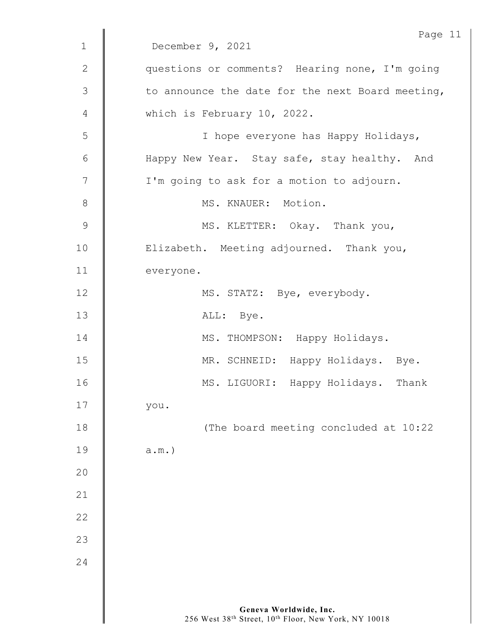|             | Page 11                                          |
|-------------|--------------------------------------------------|
| $\mathbf 1$ | December 9, 2021                                 |
| 2           | questions or comments? Hearing none, I'm going   |
| 3           | to announce the date for the next Board meeting, |
| 4           | which is February 10, 2022.                      |
| 5           | I hope everyone has Happy Holidays,              |
| 6           | Happy New Year. Stay safe, stay healthy. And     |
| 7           | I'm going to ask for a motion to adjourn.        |
| $8\,$       | MS. KNAUER: Motion.                              |
| $\mathsf 9$ | MS. KLETTER: Okay. Thank you,                    |
| 10          | Elizabeth. Meeting adjourned. Thank you,         |
| 11          | everyone.                                        |
| 12          | MS. STATZ: Bye, everybody.                       |
| 13          | ALL: Bye.                                        |
| 14          | MS. THOMPSON: Happy Holidays.                    |
| 15          | MR. SCHNEID: Happy Holidays. Bye.                |
| 16          | MS. LIGUORI: Happy Holidays.<br>Thank            |
| 17          | you.                                             |
| 18          | (The board meeting concluded at 10:22            |
| 19          | $a.m.$ )                                         |
| 20          |                                                  |
| 21          |                                                  |
| 22          |                                                  |
| 23          |                                                  |
| 24          |                                                  |
|             |                                                  |